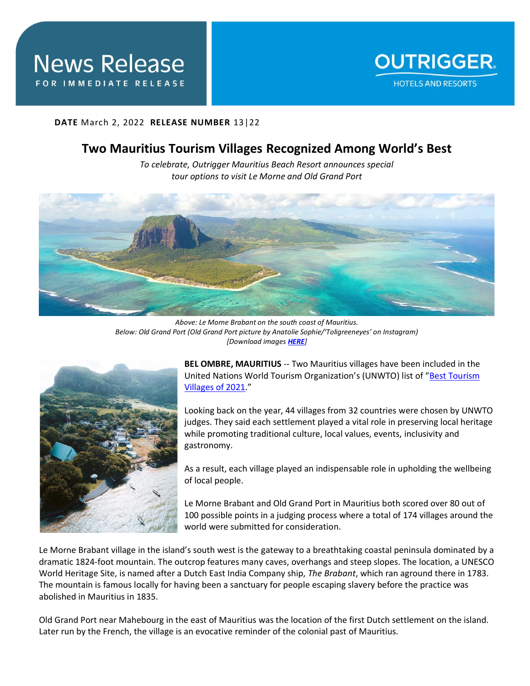

## **DATE** March 2, 2022 **RELEASE NUMBER** 13|22

## **Two Mauritius Tourism Villages Recognized Among World's Best**

*To celebrate, Outrigger Mauritius Beach Resort announces special tour options to visit Le Morne and Old Grand Port*



*Above: Le Morne Brabant on the south coast of Mauritius. Below: Old Grand Port (Old Grand Port picture by Anatolie Sophie/'Toligreeneyes' on Instagram) [Download images [HERE](https://app.box.com/s/r1qpvg957o71kphmq0rqn1d93cq6668x)]*



**BEL OMBRE, MAURITIUS** -- Two Mauritius villages have been included in the United Nations World Tourism Organization's (UNWTO) list of "[Best Tourism](https://www.unwto.org/news/unwto-announces-list-of-best-tourism-villages-2021)  [Villages of 2021](https://www.unwto.org/news/unwto-announces-list-of-best-tourism-villages-2021)."

Looking back on the year, 44 villages from 32 countries were chosen by UNWTO judges. They said each settlement played a vital role in preserving local heritage while promoting traditional culture, local values, events, inclusivity and gastronomy.

As a result, each village played an indispensable role in upholding the wellbeing of local people.

Le Morne Brabant and Old Grand Port in Mauritius both scored over 80 out of 100 possible points in a judging process where a total of 174 villages around the world were submitted for consideration.

Le Morne Brabant village in the island's south west is the gateway to a breathtaking coastal peninsula dominated by a dramatic 1824-foot mountain. The outcrop features many caves, overhangs and steep slopes. The location, a UNESCO World Heritage Site, is named after a Dutch East India Company ship, *The Brabant*, which ran aground there in 1783. The mountain is famous locally for having been a sanctuary for people escaping slavery before the practice was abolished in Mauritius in 1835.

Old Grand Port near Mahebourg in the east of Mauritius was the location of the first Dutch settlement on the island. Later run by the French, the village is an evocative reminder of the colonial past of Mauritius.